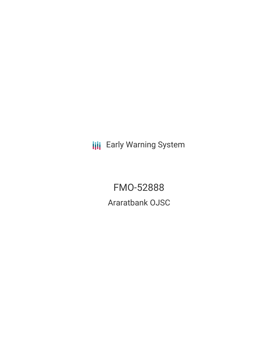**III** Early Warning System

FMO-52888 Araratbank OJSC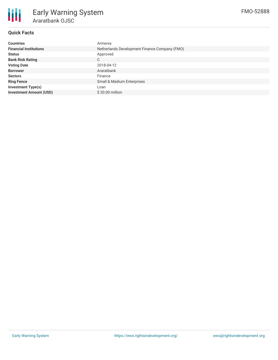

## **Quick Facts**

| <b>Countries</b>               | Armenia                                       |
|--------------------------------|-----------------------------------------------|
| <b>Financial Institutions</b>  | Netherlands Development Finance Company (FMO) |
| <b>Status</b>                  | Approved                                      |
| <b>Bank Risk Rating</b>        | C                                             |
| <b>Voting Date</b>             | 2018-04-12                                    |
| <b>Borrower</b>                | Araratbank                                    |
| <b>Sectors</b>                 | Finance                                       |
| <b>Ring Fence</b>              | Small & Medium Enterprises                    |
| <b>Investment Type(s)</b>      | Loan                                          |
| <b>Investment Amount (USD)</b> | \$20,00 million                               |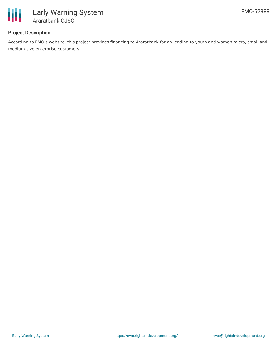

# **Project Description**

According to FMO's website, this project provides financing to Araratbank for on-lending to youth and women micro, small and medium-size enterprise customers.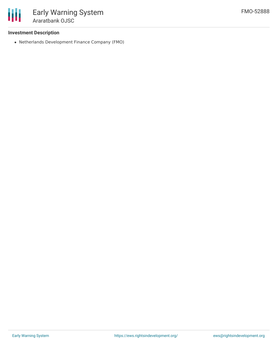

### **Investment Description**

Netherlands Development Finance Company (FMO)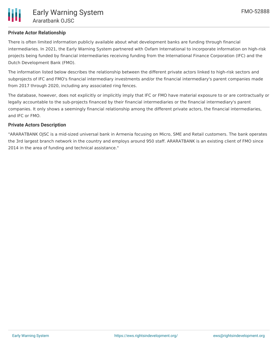## **Private Actor Relationship**

There is often limited information publicly available about what development banks are funding through financial intermediaries. In 2021, the Early Warning System partnered with Oxfam International to incorporate information on high-risk projects being funded by financial intermediaries receiving funding from the International Finance Corporation (IFC) and the Dutch Development Bank (FMO).

The information listed below describes the relationship between the different private actors linked to high-risk sectors and subprojects of IFC and FMO's financial intermediary investments and/or the financial intermediary's parent companies made from 2017 through 2020, including any associated ring fences.

The database, however, does not explicitly or implicitly imply that IFC or FMO have material exposure to or are contractually or legally accountable to the sub-projects financed by their financial intermediaries or the financial intermediary's parent companies. It only shows a seemingly financial relationship among the different private actors, the financial intermediaries, and IFC or FMO.

### **Private Actors Description**

"ARARATBANK OJSC is a mid-sized universal bank in Armenia focusing on Micro, SME and Retail customers. The bank operates the 3rd largest branch network in the country and employs around 950 staff. ARARATBANK is an existing client of FMO since 2014 in the area of funding and technical assistance."